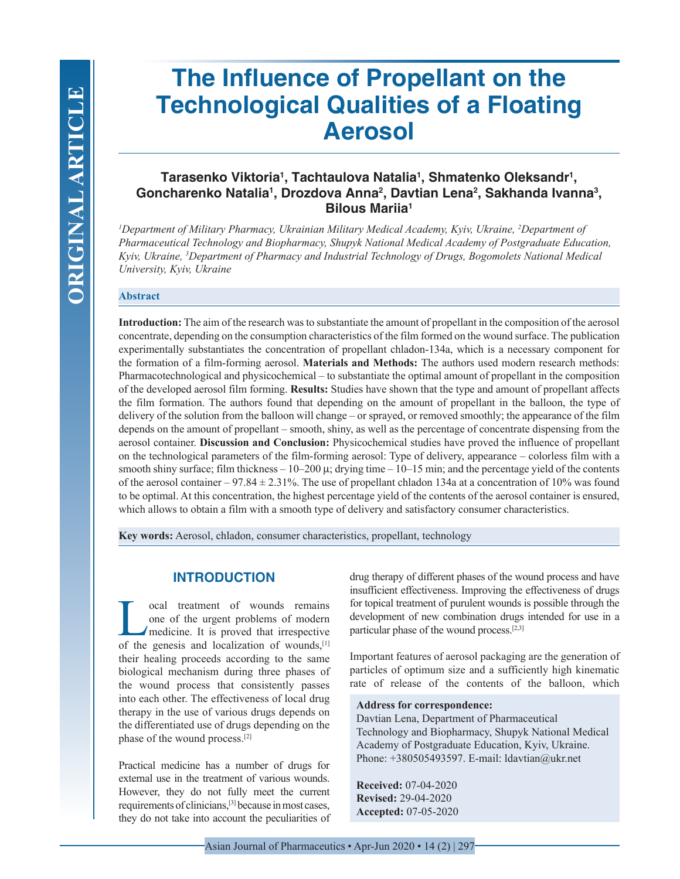# **The Influence of Propellant on the Technological Qualities of a Floating Aerosol**

# **Tarasenko Viktoria1 , Tachtaulova Natalia1 , Shmatenko Oleksandr1 , Goncharenko Natalia1 , Drozdova Anna2 , Davtian Lena2 , Sakhanda Ivanna3 , Bilous Mariia1**

*1 Department of Military Pharmacy, Ukrainian Military Medical Academy, Kyiv, Ukraine, 2 Department of Pharmaceutical Technology and Biopharmacy, Shupyk National Medical Academy of Postgraduate Education, Kyiv, Ukraine, 3 Department of Pharmacy and Industrial Technology of Drugs, Bogomolets National Medical University, Kyiv, Ukraine*

#### **Abstract**

**Introduction:** The aim of the research was to substantiate the amount of propellant in the composition of the aerosol concentrate, depending on the consumption characteristics of the film formed on the wound surface. The publication experimentally substantiates the concentration of propellant chladon-134a, which is a necessary component for the formation of a film-forming aerosol. **Materials and Methods:** The authors used modern research methods: Pharmacotechnological and physicochemical – to substantiate the optimal amount of propellant in the composition of the developed aerosol film forming. **Results:** Studies have shown that the type and amount of propellant affects the film formation. The authors found that depending on the amount of propellant in the balloon, the type of delivery of the solution from the balloon will change – or sprayed, or removed smoothly; the appearance of the film depends on the amount of propellant – smooth, shiny, as well as the percentage of concentrate dispensing from the aerosol container. **Discussion and Conclusion:** Physicochemical studies have proved the influence of propellant on the technological parameters of the film-forming aerosol: Type of delivery, appearance – colorless film with a smooth shiny surface; film thickness  $-10-200 \mu$ ; drying time  $-10-15$  min; and the percentage yield of the contents of the aerosol container – 97.84  $\pm$  2.31%. The use of propellant chladon 134a at a concentration of 10% was found to be optimal. At this concentration, the highest percentage yield of the contents of the aerosol container is ensured, which allows to obtain a film with a smooth type of delivery and satisfactory consumer characteristics.

**Key words:** Aerosol, chladon, consumer characteristics, propellant, technology

#### **INTRODUCTION**

**Local treatment of wounds remains**<br>one of the urgent problems of modern<br>medicine. It is proved that irrespective<br>of the genesis and localization of wounds<sup>[1]</sup> one of the urgent problems of modern medicine. It is proved that irrespective of the genesis and localization of wounds,[1] their healing proceeds according to the same biological mechanism during three phases of the wound process that consistently passes into each other. The effectiveness of local drug therapy in the use of various drugs depends on the differentiated use of drugs depending on the phase of the wound process.[2]

Practical medicine has a number of drugs for external use in the treatment of various wounds. However, they do not fully meet the current requirements of clinicians,[3] because in most cases, they do not take into account the peculiarities of drug therapy of different phases of the wound process and have insufficient effectiveness. Improving the effectiveness of drugs for topical treatment of purulent wounds is possible through the development of new combination drugs intended for use in a particular phase of the wound process.[2,3]

Important features of aerosol packaging are the generation of particles of optimum size and a sufficiently high kinematic rate of release of the contents of the balloon, which

#### **Address for correspondence:**

Davtian Lena, Department of Pharmaceutical Technology and Biopharmacy, Shupyk National Medical Academy of Postgraduate Education, Kyiv, Ukraine. Phone: +380505493597. E-mail: ldavtian@ukr.net

**Received:** 07-04-2020 **Revised:** 29-04-2020 **Accepted:** 07-05-2020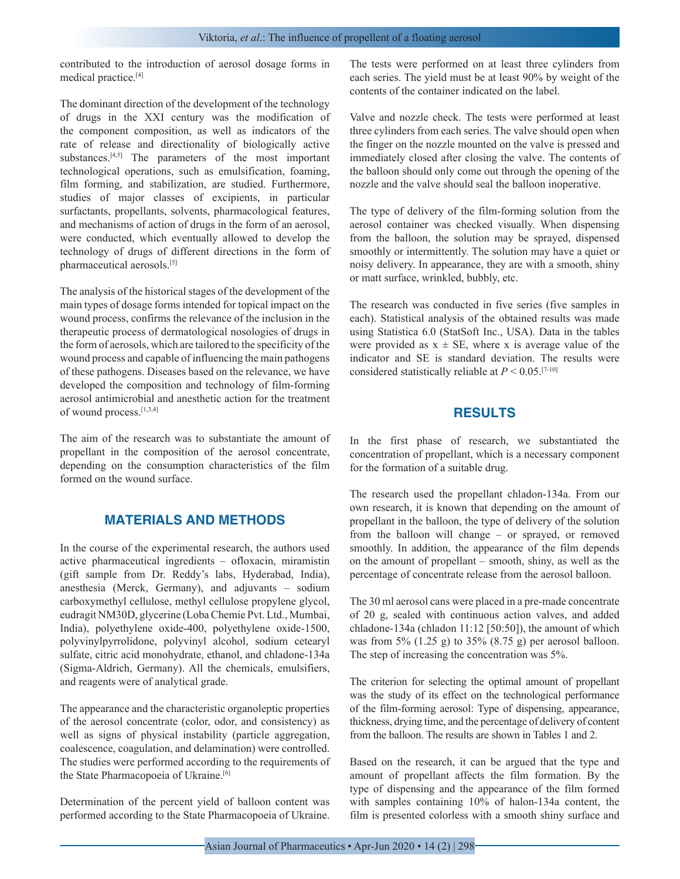contributed to the introduction of aerosol dosage forms in medical practice.[4]

The dominant direction of the development of the technology of drugs in the XXI century was the modification of the component composition, as well as indicators of the rate of release and directionality of biologically active substances. $[4,5]$  The parameters of the most important technological operations, such as emulsification, foaming, film forming, and stabilization, are studied. Furthermore, studies of major classes of excipients, in particular surfactants, propellants, solvents, pharmacological features, and mechanisms of action of drugs in the form of an aerosol, were conducted, which eventually allowed to develop the technology of drugs of different directions in the form of pharmaceutical aerosols.[5]

The analysis of the historical stages of the development of the main types of dosage forms intended for topical impact on the wound process, confirms the relevance of the inclusion in the therapeutic process of dermatological nosologies of drugs in the form of aerosols, which are tailored to the specificity of the wound process and capable of influencing the main pathogens of these pathogens. Diseases based on the relevance, we have developed the composition and technology of film-forming aerosol antimicrobial and anesthetic action for the treatment of wound process.[1,3,4]

The aim of the research was to substantiate the amount of propellant in the composition of the aerosol concentrate, depending on the consumption characteristics of the film formed on the wound surface.

# **MATERIALS AND METHODS**

In the course of the experimental research, the authors used active pharmaceutical ingredients – ofloxacin, miramistin (gift sample from Dr. Reddy's labs, Hyderabad, India), anesthesia (Merсk, Germany), and adjuvants – sodium carboxymethyl cellulose, methyl cellulose propylene glycol, еudragit NM30D, glycerine (Loba Chemie Pvt. Ltd., Mumbai, India), polyethylene oxide-400, polyethylene oxide-1500, polyvinylpyrrolidone, polyvinyl alcohol, sodium cetearyl sulfate, сitric acid monohydrate, ethanol, and chladone-134a (Sigma-Aldrich, Germany). All the chemicals, emulsifiers, and reagents were of analytical grade.

The appearance and the characteristic organoleptic properties of the aerosol concentrate (color, odor, and consistency) as well as signs of physical instability (particle aggregation, coalescence, coagulation, and delamination) were controlled. The studies were performed according to the requirements of the State Pharmacopoeia of Ukraine.<sup>[6]</sup>

Determination of the percent yield of balloon content was performed according to the State Pharmacopoeia of Ukraine. The tests were performed on at least three cylinders from each series. The yield must be at least 90% by weight of the contents of the container indicated on the label.

Valve and nozzle check. The tests were performed at least three cylinders from each series. The valve should open when the finger on the nozzle mounted on the valve is pressed and immediately closed after closing the valve. The contents of the balloon should only come out through the opening of the nozzle and the valve should seal the balloon inoperative.

The type of delivery of the film-forming solution from the aerosol container was checked visually. When dispensing from the balloon, the solution may be sprayed, dispensed smoothly or intermittently. The solution may have a quiet or noisy delivery. In appearance, they are with a smooth, shiny or matt surface, wrinkled, bubbly, etc.

The research was conducted in five series (five samples in each). Statistical analysis of the obtained results was made using Statistica 6.0 (StatSoft Inc., USA). Data in the tables were provided as  $x \pm SE$ , where x is average value of the indicator and SE is standard deviation. The results were considered statistically reliable at  $P \le 0.05$ .<sup>[7-10]</sup>

### **RESULTS**

In the first phase of research, we substantiated the concentration of propellant, which is a necessary component for the formation of a suitable drug.

The research used the propellant chladon-134a. From our own research, it is known that depending on the amount of propellant in the balloon, the type of delivery of the solution from the balloon will change – or sprayed, or removed smoothly. In addition, the appearance of the film depends on the amount of propellant – smooth, shiny, as well as the percentage of concentrate release from the aerosol balloon.

The 30 ml aerosol cans were placed in a pre-made concentrate of 20 g, sealed with continuous action valves, and added chladone-134a (chladon 11:12 [50:50]), the amount of which was from 5% (1.25 g) to 35% (8.75 g) per aerosol balloon. The step of increasing the concentration was 5%.

The criterion for selecting the optimal amount of propellant was the study of its effect on the technological performance of the film-forming aerosol: Type of dispensing, appearance, thickness, drying time, and the percentage of delivery of content from the balloon. The results are shown in Tables 1 and 2.

Based on the research, it can be argued that the type and amount of propellant affects the film formation. By the type of dispensing and the appearance of the film formed with samples containing 10% of halon-134a content, the film is presented colorless with a smooth shiny surface and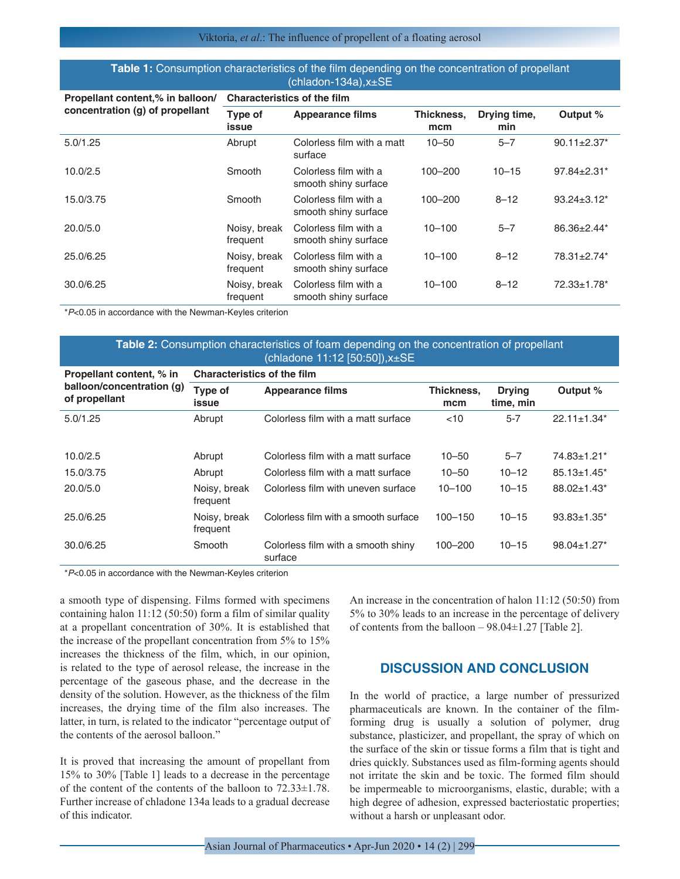#### Viktoria, *et al*.: The influence of propellent of a floating aerosol

#### **Table 1:** Consumption characteristics of the film depending on the concentration of propellant (chladon-134a),x±SE

| Propellant content,% in balloon/<br>concentration (g) of propellant | <b>Characteristics of the film</b> |                                               |                   |                     |                               |  |  |
|---------------------------------------------------------------------|------------------------------------|-----------------------------------------------|-------------------|---------------------|-------------------------------|--|--|
|                                                                     | Type of<br>issue                   | <b>Appearance films</b>                       | Thickness.<br>mcm | Drying time,<br>min | Output %                      |  |  |
| 5.0/1.25                                                            | Abrupt                             | Colorless film with a matt<br>surface         | $10 - 50$         | $5 - 7$             | $90.11 \pm 2.37$ *            |  |  |
| 10.0/2.5                                                            | Smooth                             | Colorless film with a<br>smooth shiny surface | 100-200           | $10 - 15$           | $97.84 \pm 2.31$ *            |  |  |
| 15.0/3.75                                                           | Smooth                             | Colorless film with a<br>smooth shiny surface | 100-200           | $8 - 12$            | $93.24 \pm 3.12^*$            |  |  |
| 20.0/5.0                                                            | Noisy, break<br>frequent           | Colorless film with a<br>smooth shiny surface | $10 - 100$        | $5 - 7$             | $86.36 \pm 2.44$ <sup>*</sup> |  |  |
| 25.0/6.25                                                           | Noisy, break<br>frequent           | Colorless film with a<br>smooth shiny surface | $10 - 100$        | $8 - 12$            | 78.31±2.74*                   |  |  |
| 30.0/6.25                                                           | Noisy, break<br>frequent           | Colorless film with a<br>smooth shiny surface | $10 - 100$        | $8 - 12$            | 72.33±1.78*                   |  |  |

\**P*<0.05 in accordance with the Newman-Keyles criterion

#### **Table 2:** Consumption characteristics of foam depending on the concentration of propellant (chladone 11:12 [50:50]),x±SE

| Propellant content, % in                   | <b>Characteristics of the film</b> |                                               |                   |                            |                               |  |  |
|--------------------------------------------|------------------------------------|-----------------------------------------------|-------------------|----------------------------|-------------------------------|--|--|
| balloon/concentration (g)<br>of propellant | Type of<br>issue                   | <b>Appearance films</b>                       | Thickness.<br>mcm | <b>Drying</b><br>time, min | Output %                      |  |  |
| 5.0/1.25                                   | Abrupt                             | Colorless film with a matt surface            | <10               | $5 - 7$                    | $22.11 \pm 1.34$ <sup>*</sup> |  |  |
| 10.0/2.5                                   | Abrupt                             | Colorless film with a matt surface            | $10 - 50$         | $5 - 7$                    | 74.83±1.21*                   |  |  |
| 15.0/3.75                                  | Abrupt                             | Colorless film with a matt surface            | $10 - 50$         | $10 - 12$                  | $85.13 \pm 1.45$ <sup>*</sup> |  |  |
| 20.0/5.0                                   | Noisy, break<br>frequent           | Colorless film with uneven surface            | $10 - 100$        | $10 - 15$                  | 88.02±1.43*                   |  |  |
| 25.0/6.25                                  | Noisy, break<br>frequent           | Colorless film with a smooth surface          | $100 - 150$       | $10 - 15$                  | $93.83 \pm 1.35$ *            |  |  |
| 30.0/6.25                                  | Smooth                             | Colorless film with a smooth shiny<br>surface | $100 - 200$       | $10 - 15$                  | $98.04 \pm 1.27$ *            |  |  |

\**P*<0.05 in accordance with the Newman-Keyles criterion

a smooth type of dispensing. Films formed with specimens containing halon 11:12 (50:50) form a film of similar quality at a propellant concentration of 30%. It is established that the increase of the propellant concentration from 5% to 15% increases the thickness of the film, which, in our opinion, is related to the type of aerosol release, the increase in the percentage of the gaseous phase, and the decrease in the density of the solution. However, as the thickness of the film increases, the drying time of the film also increases. The latter, in turn, is related to the indicator "percentage output of the contents of the aerosol balloon."

It is proved that increasing the amount of propellant from 15% to 30% [Table 1] leads to a decrease in the percentage of the content of the contents of the balloon to 72.33±1.78. Further increase of chladone 134a leads to a gradual decrease of this indicator.

An increase in the concentration of halon 11:12 (50:50) from 5% to 30% leads to an increase in the percentage of delivery of contents from the balloon  $-98.04 \pm 1.27$  [Table 2].

#### **DISCUSSION AND CONCLUSION**

In the world of practice, a large number of pressurized pharmaceuticals are known. In the container of the filmforming drug is usually a solution of polymer, drug substance, plasticizer, and propellant, the spray of which on the surface of the skin or tissue forms a film that is tight and dries quickly. Substances used as film-forming agents should not irritate the skin and be toxic. The formed film should be impermeable to microorganisms, elastic, durable; with a high degree of adhesion, expressed bacteriostatic properties; without a harsh or unpleasant odor.